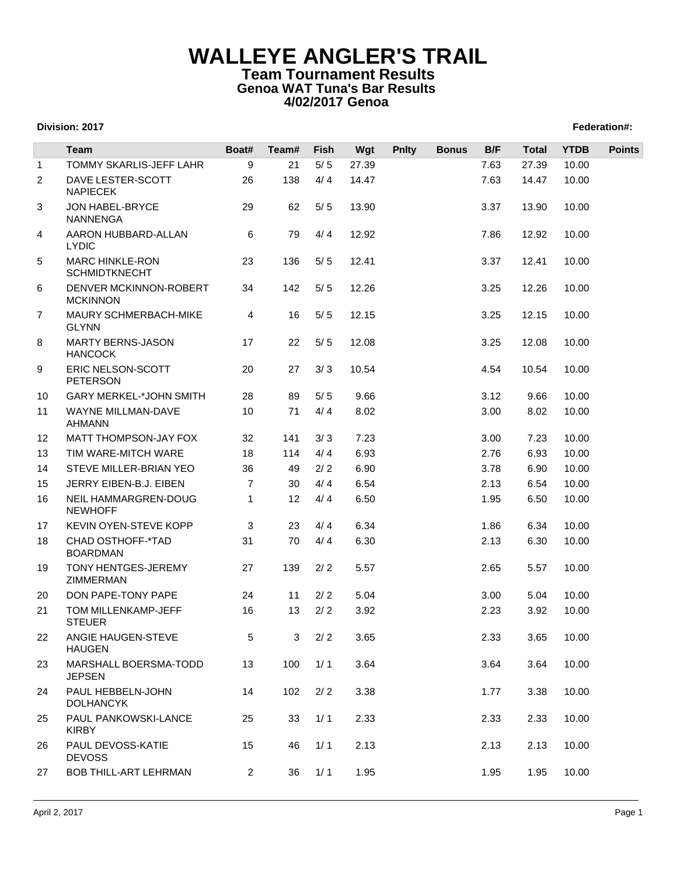## **WALLEYE ANGLER'S TRAIL Team Tournament Results Genoa WAT Tuna's Bar Results 4/02/2017 Genoa**

## **Division: 2017 Federation#:**

|              | Team                                           | Boat#          | Team# | <b>Fish</b> | Wgt   | <b>Pnlty</b> | <b>Bonus</b> | B/F  | <b>Total</b> | <b>YTDB</b> | <b>Points</b> |
|--------------|------------------------------------------------|----------------|-------|-------------|-------|--------------|--------------|------|--------------|-------------|---------------|
| $\mathbf{1}$ | <b>TOMMY SKARLIS-JEFF LAHR</b>                 | 9              | 21    | $5/5$       | 27.39 |              |              | 7.63 | 27.39        | 10.00       |               |
| 2            | DAVE LESTER-SCOTT<br><b>NAPIECEK</b>           | 26             | 138   | 4/4         | 14.47 |              |              | 7.63 | 14.47        | 10.00       |               |
| 3            | JON HABEL-BRYCE<br><b>NANNENGA</b>             | 29             | 62    | $5/5$       | 13.90 |              |              | 3.37 | 13.90        | 10.00       |               |
| 4            | AARON HUBBARD-ALLAN<br><b>LYDIC</b>            | 6              | 79    | 4/4         | 12.92 |              |              | 7.86 | 12.92        | 10.00       |               |
| 5            | <b>MARC HINKLE-RON</b><br><b>SCHMIDTKNECHT</b> | 23             | 136   | $5/5$       | 12.41 |              |              | 3.37 | 12.41        | 10.00       |               |
| 6            | DENVER MCKINNON-ROBERT<br><b>MCKINNON</b>      | 34             | 142   | $5/5$       | 12.26 |              |              | 3.25 | 12.26        | 10.00       |               |
| 7            | MAURY SCHMERBACH-MIKE<br><b>GLYNN</b>          | 4              | 16    | $5/5$       | 12.15 |              |              | 3.25 | 12.15        | 10.00       |               |
| 8            | <b>MARTY BERNS-JASON</b><br><b>HANCOCK</b>     | 17             | 22    | $5/5$       | 12.08 |              |              | 3.25 | 12.08        | 10.00       |               |
| 9            | ERIC NELSON-SCOTT<br><b>PETERSON</b>           | 20             | 27    | 3/3         | 10.54 |              |              | 4.54 | 10.54        | 10.00       |               |
| 10           | <b>GARY MERKEL-*JOHN SMITH</b>                 | 28             | 89    | $5/5$       | 9.66  |              |              | 3.12 | 9.66         | 10.00       |               |
| 11           | WAYNE MILLMAN-DAVE<br>AHMANN                   | 10             | 71    | 4/4         | 8.02  |              |              | 3.00 | 8.02         | 10.00       |               |
| 12           | <b>MATT THOMPSON-JAY FOX</b>                   | 32             | 141   | 3/3         | 7.23  |              |              | 3.00 | 7.23         | 10.00       |               |
| 13           | TIM WARE-MITCH WARE                            | 18             | 114   | 4/4         | 6.93  |              |              | 2.76 | 6.93         | 10.00       |               |
| 14           | STEVE MILLER-BRIAN YEO                         | 36             | 49    | 2/2         | 6.90  |              |              | 3.78 | 6.90         | 10.00       |               |
| 15           | JERRY EIBEN-B.J. EIBEN                         | $\overline{7}$ | 30    | 4/4         | 6.54  |              |              | 2.13 | 6.54         | 10.00       |               |
| 16           | NEIL HAMMARGREN-DOUG<br><b>NEWHOFF</b>         | 1              | 12    | 4/4         | 6.50  |              |              | 1.95 | 6.50         | 10.00       |               |
| 17           | KEVIN OYEN-STEVE KOPP                          | 3              | 23    | 4/4         | 6.34  |              |              | 1.86 | 6.34         | 10.00       |               |
| 18           | CHAD OSTHOFF-*TAD<br><b>BOARDMAN</b>           | 31             | 70    | 4/4         | 6.30  |              |              | 2.13 | 6.30         | 10.00       |               |
| 19           | TONY HENTGES-JEREMY<br>ZIMMERMAN               | 27             | 139   | 2/2         | 5.57  |              |              | 2.65 | 5.57         | 10.00       |               |
| 20           | DON PAPE-TONY PAPE                             | 24             | 11    | 2/2         | 5.04  |              |              | 3.00 | 5.04         | 10.00       |               |
| 21           | TOM MILLENKAMP-JEFF<br><b>STEUER</b>           | 16             | 13    | $2/2$       | 3.92  |              |              | 2.23 | 3.92         | 10.00       |               |
| 22           | ANGIE HAUGEN-STEVE<br><b>HAUGEN</b>            | 5              | 3     | $2/2$       | 3.65  |              |              | 2.33 | 3.65         | 10.00       |               |
| 23           | MARSHALL BOERSMA-TODD<br><b>JEPSEN</b>         | 13             | 100   | 1/1         | 3.64  |              |              | 3.64 | 3.64         | 10.00       |               |
| 24           | PAUL HEBBELN-JOHN<br><b>DOLHANCYK</b>          | 14             | 102   | 2/2         | 3.38  |              |              | 1.77 | 3.38         | 10.00       |               |
| 25           | PAUL PANKOWSKI-LANCE<br><b>KIRBY</b>           | 25             | 33    | 1/1         | 2.33  |              |              | 2.33 | 2.33         | 10.00       |               |
| 26           | PAUL DEVOSS-KATIE<br><b>DEVOSS</b>             | 15             | 46    | 1/1         | 2.13  |              |              | 2.13 | 2.13         | 10.00       |               |
| 27           | <b>BOB THILL-ART LEHRMAN</b>                   | $\overline{2}$ | 36    | 1/1         | 1.95  |              |              | 1.95 | 1.95         | 10.00       |               |